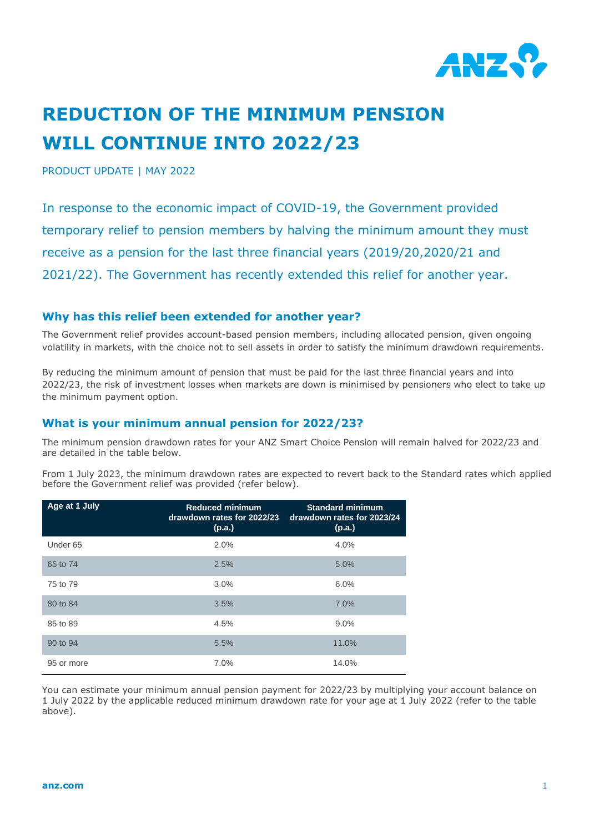

# **REDUCTION OF THE MINIMUM PENSION WILL CONTINUE INTO 2022/23**

PRODUCT UPDATE | MAY 2022

In response to the economic impact of COVID-19, the Government provided temporary relief to pension members by halving the minimum amount they must receive as a pension for the last three financial years (2019/20,2020/21 and 2021/22). The Government has recently extended this relief for another year.

#### **Why has this relief been extended for another year?**

The Government relief provides account-based pension members, including allocated pension, given ongoing volatility in markets, with the choice not to sell assets in order to satisfy the minimum drawdown requirements.

By reducing the minimum amount of pension that must be paid for the last three financial years and into 2022/23, the risk of investment losses when markets are down is minimised by pensioners who elect to take up the minimum payment option.

## **What is your minimum annual pension for 2022/23?**

The minimum pension drawdown rates for your ANZ Smart Choice Pension will remain halved for 2022/23 and are detailed in the table below.

From 1 July 2023, the minimum drawdown rates are expected to revert back to the Standard rates which applied before the Government relief was provided (refer below).

| Age at 1 July       | <b>Reduced minimum</b><br>drawdown rates for 2022/23<br>(p.a.) | <b>Standard minimum</b><br>drawdown rates for 2023/24<br>(p.a.) |
|---------------------|----------------------------------------------------------------|-----------------------------------------------------------------|
| Under <sub>65</sub> | 2.0%                                                           | 4.0%                                                            |
| 65 to 74            | 2.5%                                                           | 5.0%                                                            |
| 75 to 79            | 3.0%                                                           | 6.0%                                                            |
| 80 to 84            | 3.5%                                                           | 7.0%                                                            |
| 85 to 89            | 4.5%                                                           | 9.0%                                                            |
| 90 to 94            | 5.5%                                                           | 11.0%                                                           |
| 95 or more          | 7.0%                                                           | 14.0%                                                           |

You can estimate your minimum annual pension payment for 2022/23 by multiplying your account balance on 1 July 2022 by the applicable reduced minimum drawdown rate for your age at 1 July 2022 (refer to the table above).